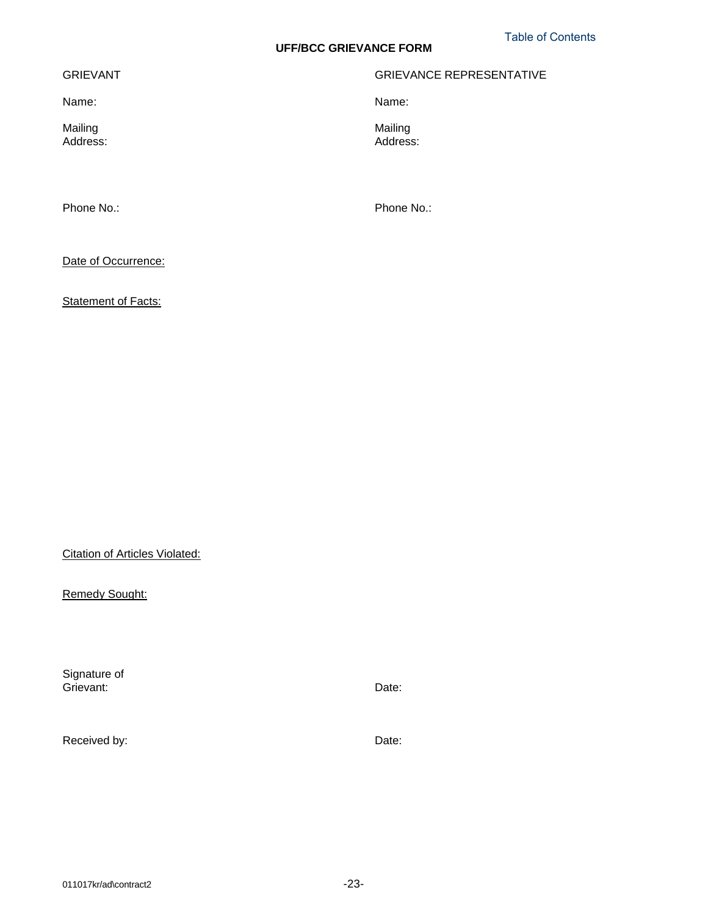# **UFF/BCC GRIEVANCE FORM**

### GRIEVANT

Name:

Mailing Address:

Phone No.:

Phone No.:

Name:

Mailing Address:

GRIEVANCE REPRESENTATIVE

Date of Occurrence:

Statement of Facts:

Citation of Articles Violated:

Remedy Sought:

Signature of Grievant: Received by: Date: Date: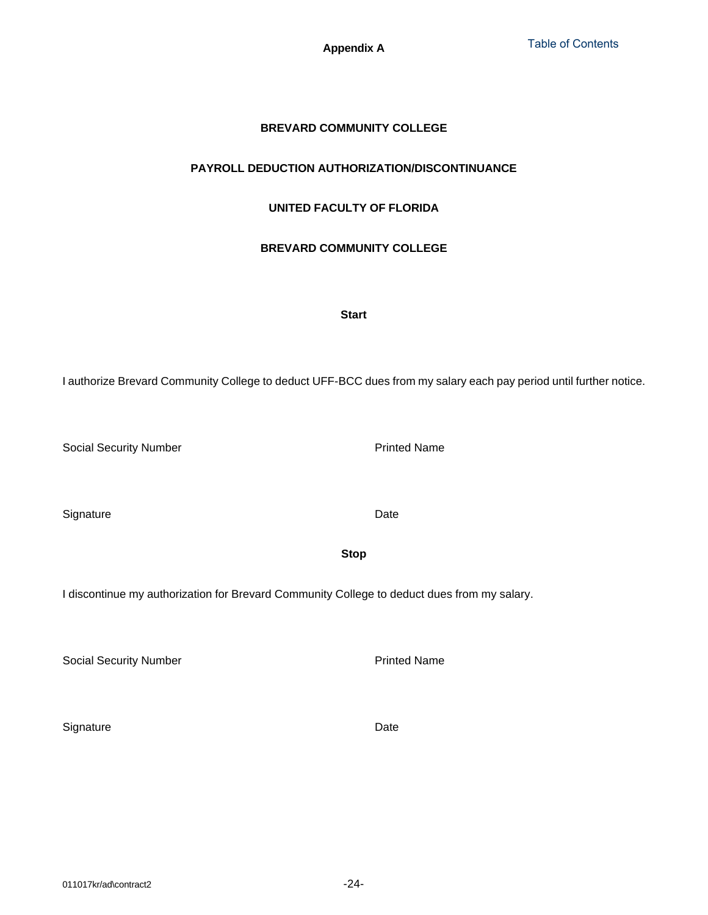**Appendix A**

# **BREVARD COMMUNITY COLLEGE**

# <span id="page-1-0"></span>**PAYROLL DEDUCTION AUTHORIZATION/DISCONTINUANCE**

# **UNITED FACULTY OF FLORIDA**

# **BREVARD COMMUNITY COLLEGE**

## **Start**

I authorize Brevard Community College to deduct UFF-BCC dues from my salary each pay period until further notice.

Social Security Number

**Signature** 

I discontinue my authorization for Brevard Community College to deduct dues from my salary.

Social Security Number

**Signature** 

Printed Name

Date

Date

Printed Name

**Stop**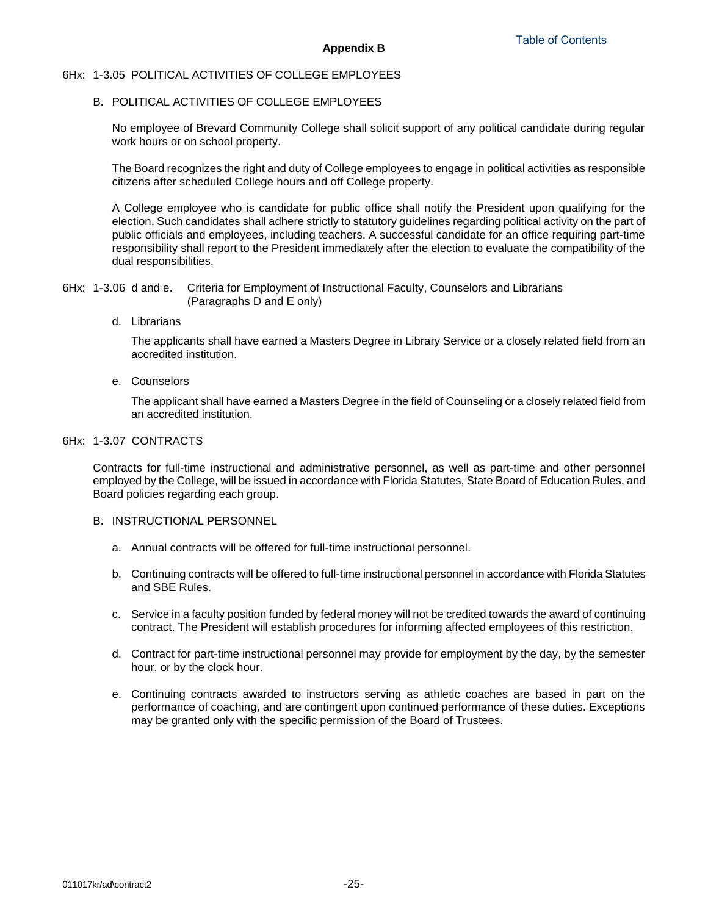#### 6Hx: 1-3.05 POLITICAL ACTIVITIES OF COLLEGE EMPLOYEES

# B. POLITICAL ACTIVITIES OF COLLEGE EMPLOYEES

No employee of Brevard Community College shall solicit support of any political candidate during regular work hours or on school property.

The Board recognizes the right and duty of College employees to engage in political activities as responsible citizens after scheduled College hours and off College property.

A College employee who is candidate for public office shall notify the President upon qualifying for the election. Such candidates shall adhere strictly to statutory guidelines regarding political activity on the part of public officials and employees, including teachers. A successful candidate for an office requiring part-time responsibility shall report to the President immediately after the election to evaluate the compatibility of the dual responsibilities.

6Hx: 1-3.06 d and e. Criteria for Employment of Instructional Faculty, Counselors and Librarians (Paragraphs D and E only)

d. Librarians

The applicants shall have earned a Masters Degree in Library Service or a closely related field from an accredited institution.

e. Counselors

The applicant shall have earned a Masters Degree in the field of Counseling or a closely related field from an accredited institution.

#### 6Hx: 1-3.07 CONTRACTS

Contracts for full-time instructional and administrative personnel, as well as part-time and other personnel employed by the College, will be issued in accordance with Florida Statutes, State Board of Education Rules, and Board policies regarding each group.

#### B. INSTRUCTIONAL PERSONNEL

- a. Annual contracts will be offered for full-time instructional personnel.
- b. Continuing contracts will be offered to full-time instructional personnel in accordance with Florida Statutes and SBE Rules.
- c. Service in a faculty position funded by federal money will not be credited towards the award of continuing contract. The President will establish procedures for informing affected employees of this restriction.
- d. Contract for part-time instructional personnel may provide for employment by the day, by the semester hour, or by the clock hour.
- e. Continuing contracts awarded to instructors serving as athletic coaches are based in part on the performance of coaching, and are contingent upon continued performance of these duties. Exceptions may be granted only with the specific permission of the Board of Trustees.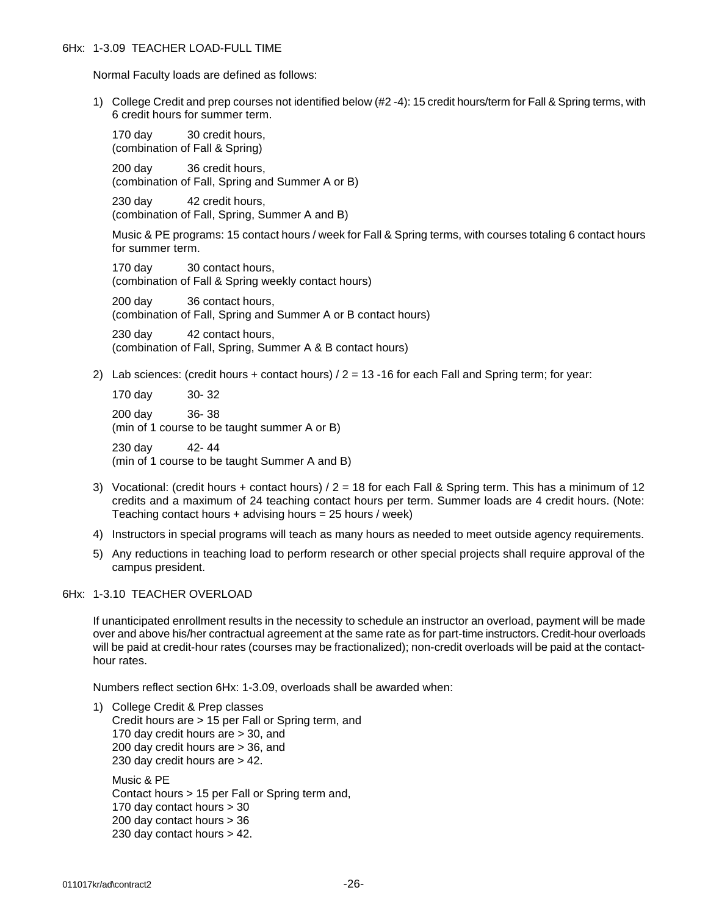Normal Faculty loads are defined as follows:

1) College Credit and prep courses not identified below (#2 -4): 15 credit hours/term for Fall & Spring terms, with 6 credit hours for summer term.

170 day 30 credit hours. (combination of Fall & Spring)

200 day 36 credit hours, (combination of Fall, Spring and Summer A or B)

230 day 42 credit hours, (combination of Fall, Spring, Summer A and B)

Music & PE programs: 15 contact hours / week for Fall & Spring terms, with courses totaling 6 contact hours for summer term.

170 day 30 contact hours, (combination of Fall & Spring weekly contact hours)

200 day 36 contact hours, (combination of Fall, Spring and Summer A or B contact hours)

230 day 42 contact hours, (combination of Fall, Spring, Summer A & B contact hours)

2) Lab sciences: (credit hours + contact hours)  $/2 = 13 - 16$  for each Fall and Spring term; for year:

170 day 30- 32 200 day 36- 38

(min of 1 course to be taught summer A or B)

230 day 42- 44 (min of 1 course to be taught Summer A and B)

- 3) Vocational: (credit hours + contact hours) / 2 = 18 for each Fall & Spring term. This has a minimum of 12 credits and a maximum of 24 teaching contact hours per term. Summer loads are 4 credit hours. (Note: Teaching contact hours  $+$  advising hours = 25 hours / week)
- 4) Instructors in special programs will teach as many hours as needed to meet outside agency requirements.
- 5) Any reductions in teaching load to perform research or other special projects shall require approval of the campus president.

6Hx: 1-3.10 TEACHER OVERLOAD

If unanticipated enrollment results in the necessity to schedule an instructor an overload, payment will be made over and above his/her contractual agreement at the same rate as for part-time instructors. Credit-hour overloads will be paid at credit-hour rates (courses may be fractionalized); non-credit overloads will be paid at the contacthour rates.

Numbers reflect section 6Hx: 1-3.09, overloads shall be awarded when:

1) College Credit & Prep classes Credit hours are > 15 per Fall or Spring term, and 170 day credit hours are > 30, and 200 day credit hours are > 36, and 230 day credit hours are > 42.

Music & PE Contact hours > 15 per Fall or Spring term and, 170 day contact hours > 30 200 day contact hours > 36 230 day contact hours > 42.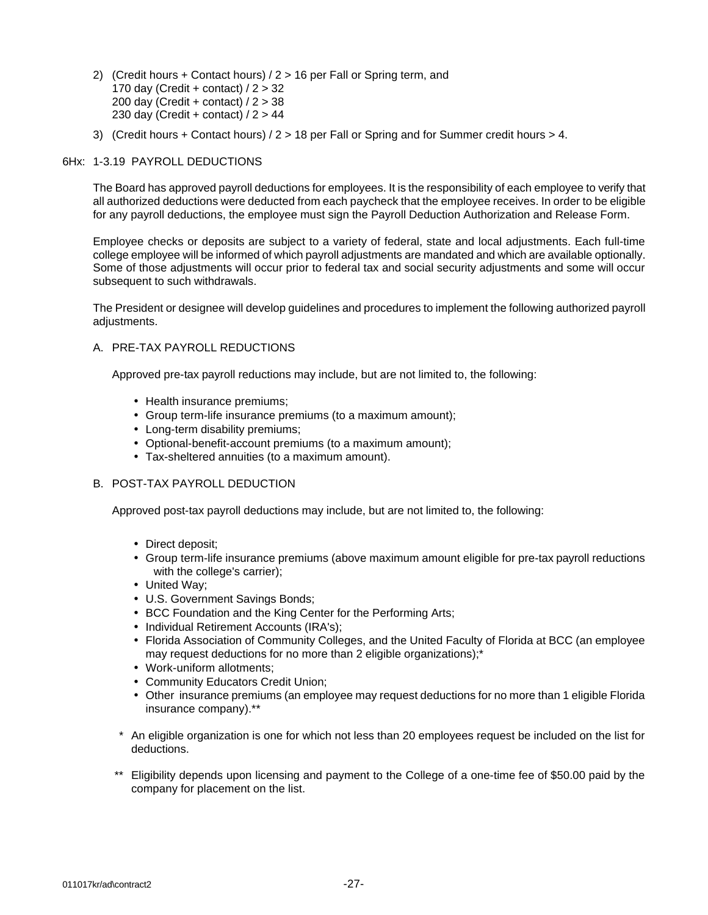- 2) (Credit hours + Contact hours) / 2 > 16 per Fall or Spring term, and 170 day (Credit + contact)  $/2$  > 32 200 day (Credit + contact) / 2 > 38 230 day (Credit + contact)  $/2$  > 44
- 3) (Credit hours + Contact hours) / 2 > 18 per Fall or Spring and for Summer credit hours > 4.

#### 6Hx: 1-3.19 PAYROLL DEDUCTIONS

The Board has approved payroll deductions for employees. It is the responsibility of each employee to verify that all authorized deductions were deducted from each paycheck that the employee receives. In order to be eligible for any payroll deductions, the employee must sign the Payroll Deduction Authorization and Release Form.

Employee checks or deposits are subject to a variety of federal, state and local adjustments. Each full-time college employee will be informed of which payroll adjustments are mandated and which are available optionally. Some of those adjustments will occur prior to federal tax and social security adjustments and some will occur subsequent to such withdrawals.

The President or designee will develop guidelines and procedures to implement the following authorized payroll adjustments.

#### A. PRE-TAX PAYROLL REDUCTIONS

Approved pre-tax payroll reductions may include, but are not limited to, the following:

- Health insurance premiums;
- Group term-life insurance premiums (to a maximum amount);
- Long-term disability premiums;
- Optional-benefit-account premiums (to a maximum amount);
- Tax-sheltered annuities (to a maximum amount).

### B. POST-TAX PAYROLL DEDUCTION

Approved post-tax payroll deductions may include, but are not limited to, the following:

- Direct deposit;
- Group term-life insurance premiums (above maximum amount eligible for pre-tax payroll reductions with the college's carrier);
- United Way;
- U.S. Government Savings Bonds;
- BCC Foundation and the King Center for the Performing Arts;
- Individual Retirement Accounts (IRA's);
- Florida Association of Community Colleges, and the United Faculty of Florida at BCC (an employee may request deductions for no more than 2 eligible organizations);\*
- Work-uniform allotments;
- Community Educators Credit Union;
- Other insurance premiums (an employee may request deductions for no more than 1 eligible Florida insurance company).\*\*
- \* An eligible organization is one for which not less than 20 employees request be included on the list for deductions.
- \*\* Eligibility depends upon licensing and payment to the College of a one-time fee of \$50.00 paid by the company for placement on the list.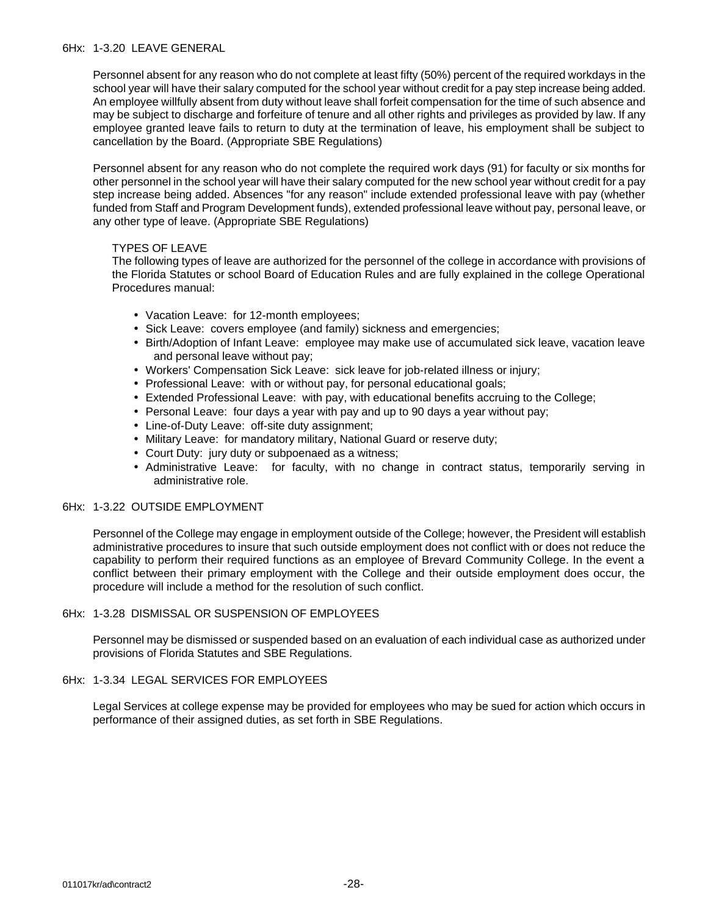Personnel absent for any reason who do not complete at least fifty (50%) percent of the required workdays in the school year will have their salary computed for the school year without credit for a pay step increase being added. An employee willfully absent from duty without leave shall forfeit compensation for the time of such absence and may be subject to discharge and forfeiture of tenure and all other rights and privileges as provided by law. If any employee granted leave fails to return to duty at the termination of leave, his employment shall be subject to cancellation by the Board. (Appropriate SBE Regulations)

Personnel absent for any reason who do not complete the required work days (91) for faculty or six months for other personnel in the school year will have their salary computed for the new school year without credit for a pay step increase being added. Absences "for any reason" include extended professional leave with pay (whether funded from Staff and Program Development funds), extended professional leave without pay, personal leave, or any other type of leave. (Appropriate SBE Regulations)

### TYPES OF LEAVE

The following types of leave are authorized for the personnel of the college in accordance with provisions of the Florida Statutes or school Board of Education Rules and are fully explained in the college Operational Procedures manual:

- Vacation Leave: for 12-month employees;
- Sick Leave: covers employee (and family) sickness and emergencies;
- Birth/Adoption of Infant Leave: employee may make use of accumulated sick leave, vacation leave and personal leave without pay;
- Workers' Compensation Sick Leave: sick leave for job-related illness or injury;
- Professional Leave: with or without pay, for personal educational goals;
- Extended Professional Leave: with pay, with educational benefits accruing to the College;
- Personal Leave: four days a year with pay and up to 90 days a year without pay;
- Line-of-Duty Leave: off-site duty assignment;
- Military Leave: for mandatory military, National Guard or reserve duty;
- Court Duty: jury duty or subpoenaed as a witness;
- Administrative Leave: for faculty, with no change in contract status, temporarily serving in administrative role.

### 6Hx: 1-3.22 OUTSIDE EMPLOYMENT

Personnel of the College may engage in employment outside of the College; however, the President will establish administrative procedures to insure that such outside employment does not conflict with or does not reduce the capability to perform their required functions as an employee of Brevard Community College. In the event a conflict between their primary employment with the College and their outside employment does occur, the procedure will include a method for the resolution of such conflict.

### 6Hx: 1-3.28 DISMISSAL OR SUSPENSION OF EMPLOYEES

Personnel may be dismissed or suspended based on an evaluation of each individual case as authorized under provisions of Florida Statutes and SBE Regulations.

# 6Hx: 1-3.34 LEGAL SERVICES FOR EMPLOYEES

Legal Services at college expense may be provided for employees who may be sued for action which occurs in performance of their assigned duties, as set forth in SBE Regulations.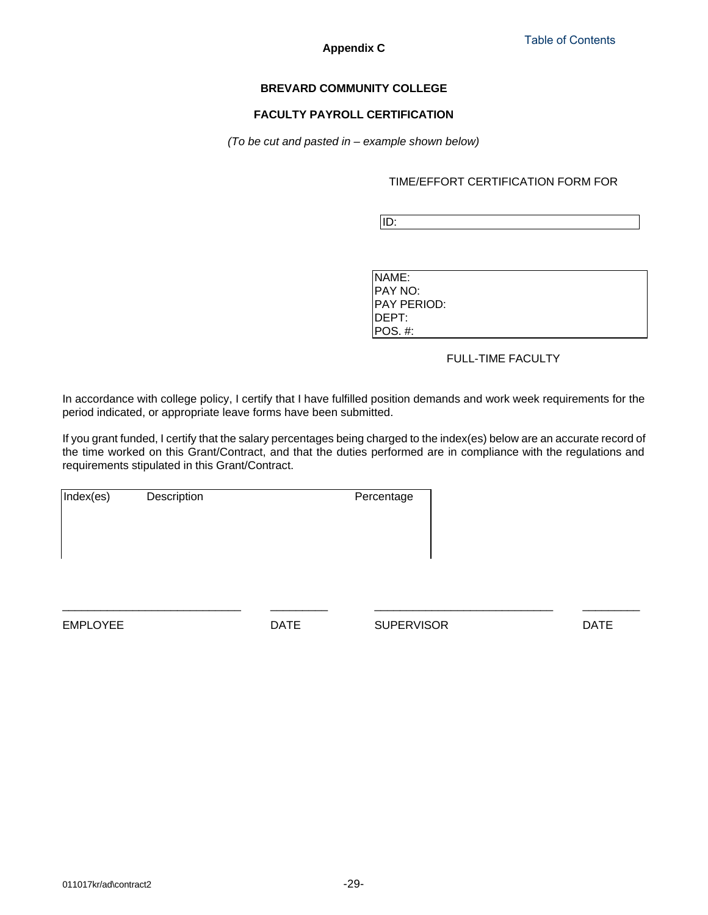**Appendix C**

## **BREVARD COMMUNITY COLLEGE**

## **FACULTY PAYROLL CERTIFICATION**

*(To be cut and pasted in – example shown below)*

TIME/EFFORT CERTIFICATION FORM FOR

ID:

| NAME:       |
|-------------|
| PAY NO:     |
| PAY PERIOD: |
| DEPT:       |
| POS #:      |

# FULL-TIME FACULTY

In accordance with college policy, I certify that I have fulfilled position demands and work week requirements for the period indicated, or appropriate leave forms have been submitted.

If you grant funded, I certify that the salary percentages being charged to the index(es) below are an accurate record of the time worked on this Grant/Contract, and that the duties performed are in compliance with the regulations and requirements stipulated in this Grant/Contract.

\_\_\_\_\_\_\_\_\_\_\_\_\_\_\_\_\_\_\_\_\_\_\_\_\_\_\_\_ \_\_\_\_\_\_\_\_\_ \_\_\_\_\_\_\_\_\_\_\_\_\_\_\_\_\_\_\_\_\_\_\_\_\_\_\_\_ \_\_\_\_\_\_\_\_\_

| Index(es) | Description | Percentage |
|-----------|-------------|------------|
|           |             |            |
|           |             |            |
|           |             |            |
|           |             |            |

EMPLOYEE DATE SUPERVISOR DATE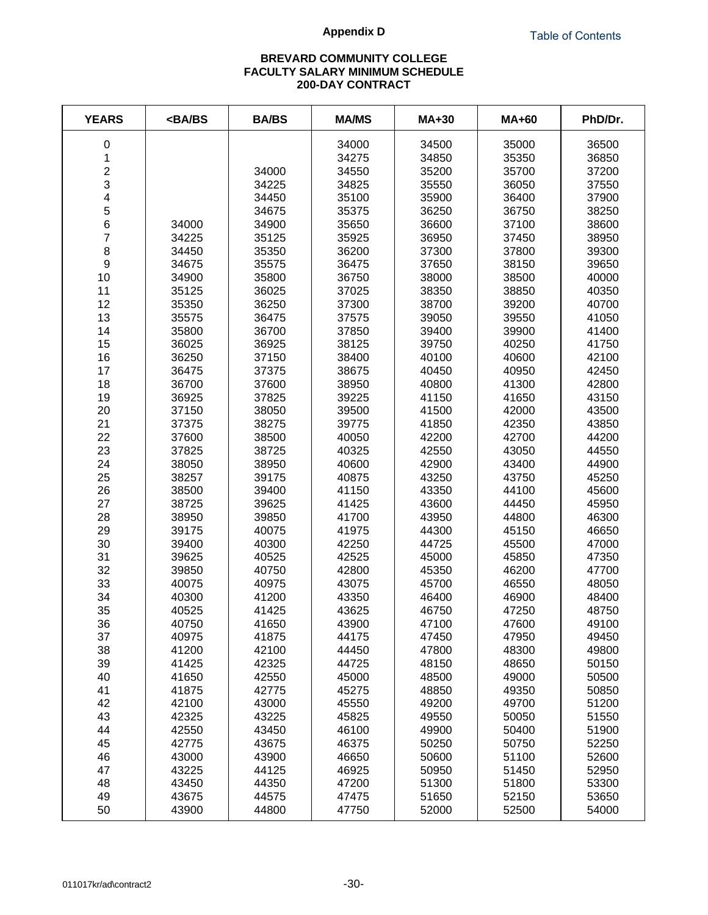## **Appendix D**

# **BREVARD COMMUNITY COLLEGE FACULTY SALARY MINIMUM SCHEDULE 200-DAY CONTRACT**

| <b>YEARS</b>            | <ba bs<="" th=""><th><b>BA/BS</b></th><th><b>MA/MS</b></th><th><b>MA+30</b></th><th><b>MA+60</b></th><th>PhD/Dr.</th></ba> | <b>BA/BS</b> | <b>MA/MS</b> | <b>MA+30</b> | <b>MA+60</b> | PhD/Dr. |
|-------------------------|----------------------------------------------------------------------------------------------------------------------------|--------------|--------------|--------------|--------------|---------|
| 0                       |                                                                                                                            |              | 34000        | 34500        | 35000        | 36500   |
| $\mathbf 1$             |                                                                                                                            |              | 34275        | 34850        | 35350        | 36850   |
| $\overline{\mathbf{c}}$ |                                                                                                                            | 34000        | 34550        | 35200        | 35700        | 37200   |
| 3                       |                                                                                                                            | 34225        | 34825        | 35550        | 36050        | 37550   |
| 4                       |                                                                                                                            | 34450        | 35100        | 35900        | 36400        | 37900   |
| 5                       |                                                                                                                            | 34675        | 35375        | 36250        | 36750        | 38250   |
| 6                       | 34000                                                                                                                      | 34900        | 35650        | 36600        | 37100        | 38600   |
| $\overline{7}$          | 34225                                                                                                                      | 35125        | 35925        | 36950        | 37450        | 38950   |
| 8                       | 34450                                                                                                                      | 35350        | 36200        | 37300        | 37800        | 39300   |
| $\overline{9}$          | 34675                                                                                                                      | 35575        | 36475        | 37650        | 38150        | 39650   |
| 10                      | 34900                                                                                                                      | 35800        | 36750        | 38000        | 38500        | 40000   |
| 11                      | 35125                                                                                                                      | 36025        | 37025        | 38350        | 38850        | 40350   |
| 12                      | 35350                                                                                                                      | 36250        | 37300        | 38700        | 39200        | 40700   |
| 13                      | 35575                                                                                                                      | 36475        | 37575        | 39050        | 39550        | 41050   |
| 14                      | 35800                                                                                                                      | 36700        | 37850        | 39400        | 39900        | 41400   |
| 15                      | 36025                                                                                                                      | 36925        | 38125        | 39750        | 40250        | 41750   |
| 16                      | 36250                                                                                                                      | 37150        | 38400        | 40100        | 40600        | 42100   |
| 17                      | 36475                                                                                                                      | 37375        | 38675        | 40450        | 40950        | 42450   |
| 18                      | 36700                                                                                                                      | 37600        | 38950        | 40800        | 41300        | 42800   |
| 19                      | 36925                                                                                                                      | 37825        | 39225        | 41150        | 41650        | 43150   |
| 20                      | 37150                                                                                                                      | 38050        | 39500        | 41500        | 42000        | 43500   |
| 21                      | 37375                                                                                                                      | 38275        | 39775        | 41850        | 42350        | 43850   |
| 22                      | 37600                                                                                                                      | 38500        | 40050        | 42200        | 42700        | 44200   |
| 23                      | 37825                                                                                                                      | 38725        | 40325        | 42550        | 43050        | 44550   |
| 24                      | 38050                                                                                                                      | 38950        | 40600        | 42900        | 43400        | 44900   |
| 25                      | 38257                                                                                                                      | 39175        | 40875        | 43250        | 43750        | 45250   |
| 26                      | 38500                                                                                                                      | 39400        | 41150        | 43350        | 44100        | 45600   |
| 27                      | 38725                                                                                                                      | 39625        | 41425        | 43600        | 44450        | 45950   |
| 28                      | 38950                                                                                                                      | 39850        | 41700        | 43950        | 44800        | 46300   |
| 29                      | 39175                                                                                                                      | 40075        | 41975        | 44300        | 45150        | 46650   |
| 30                      | 39400                                                                                                                      | 40300        | 42250        | 44725        | 45500        | 47000   |
| 31                      | 39625                                                                                                                      | 40525        | 42525        | 45000        | 45850        | 47350   |
| 32                      | 39850                                                                                                                      | 40750        | 42800        | 45350        | 46200        | 47700   |
| 33                      | 40075                                                                                                                      | 40975        | 43075        | 45700        | 46550        | 48050   |
| 34                      | 40300                                                                                                                      | 41200        | 43350        | 46400        | 46900        | 48400   |
| 35                      | 40525                                                                                                                      | 41425        | 43625        | 46750        | 47250        | 48750   |
| 36                      | 40750                                                                                                                      | 41650        | 43900        | 47100        | 47600        | 49100   |
| 37                      | 40975                                                                                                                      | 41875        | 44175        | 47450        | 47950        | 49450   |
| 38                      | 41200                                                                                                                      | 42100        | 44450        | 47800        | 48300        | 49800   |
| 39                      | 41425                                                                                                                      | 42325        | 44725        | 48150        | 48650        | 50150   |
| 40                      | 41650                                                                                                                      | 42550        | 45000        | 48500        | 49000        | 50500   |
| 41                      | 41875                                                                                                                      | 42775        | 45275        | 48850        | 49350        | 50850   |
| 42                      | 42100                                                                                                                      | 43000        | 45550        | 49200        | 49700        | 51200   |
| 43                      | 42325                                                                                                                      | 43225        | 45825        | 49550        | 50050        | 51550   |
| 44                      | 42550                                                                                                                      | 43450        | 46100        | 49900        | 50400        | 51900   |
| 45                      | 42775                                                                                                                      | 43675        | 46375        | 50250        | 50750        | 52250   |
| 46                      | 43000                                                                                                                      | 43900        | 46650        | 50600        | 51100        | 52600   |
| 47                      | 43225                                                                                                                      | 44125        | 46925        | 50950        | 51450        | 52950   |
| 48                      | 43450                                                                                                                      | 44350        | 47200        | 51300        | 51800        | 53300   |
| 49                      | 43675                                                                                                                      | 44575        | 47475        | 51650        | 52150        | 53650   |
| 50                      | 43900                                                                                                                      | 44800        | 47750        | 52000        | 52500        | 54000   |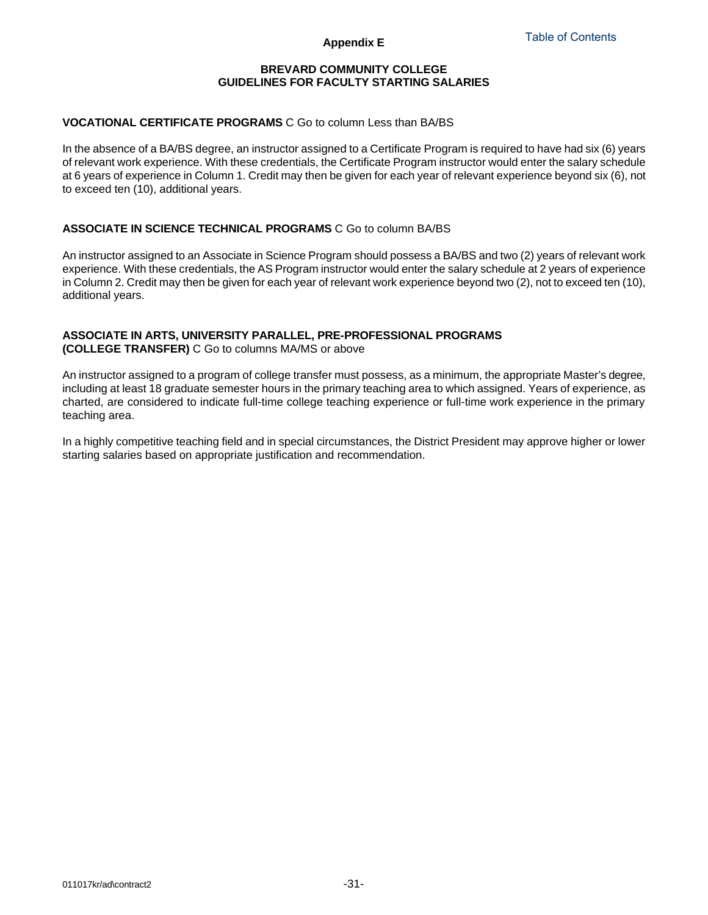## **BREVARD COMMUNITY COLLEGE GUIDELINES FOR FACULTY STARTING SALARIES**

### **VOCATIONAL CERTIFICATE PROGRAMS** C Go to column Less than BA/BS

In the absence of a BA/BS degree, an instructor assigned to a Certificate Program is required to have had six (6) years of relevant work experience. With these credentials, the Certificate Program instructor would enter the salary schedule at 6 years of experience in Column 1. Credit may then be given for each year of relevant experience beyond six (6), not to exceed ten (10), additional years.

### **ASSOCIATE IN SCIENCE TECHNICAL PROGRAMS** C Go to column BA/BS

An instructor assigned to an Associate in Science Program should possess a BA/BS and two (2) years of relevant work experience. With these credentials, the AS Program instructor would enter the salary schedule at 2 years of experience in Column 2. Credit may then be given for each year of relevant work experience beyond two (2), not to exceed ten (10), additional years.

#### **ASSOCIATE IN ARTS, UNIVERSITY PARALLEL, PRE-PROFESSIONAL PROGRAMS (COLLEGE TRANSFER)** C Go to columns MA/MS or above

An instructor assigned to a program of college transfer must possess, as a minimum, the appropriate Master's degree, including at least 18 graduate semester hours in the primary teaching area to which assigned. Years of experience, as charted, are considered to indicate full-time college teaching experience or full-time work experience in the primary teaching area.

In a highly competitive teaching field and in special circumstances, the District President may approve higher or lower starting salaries based on appropriate justification and recommendation.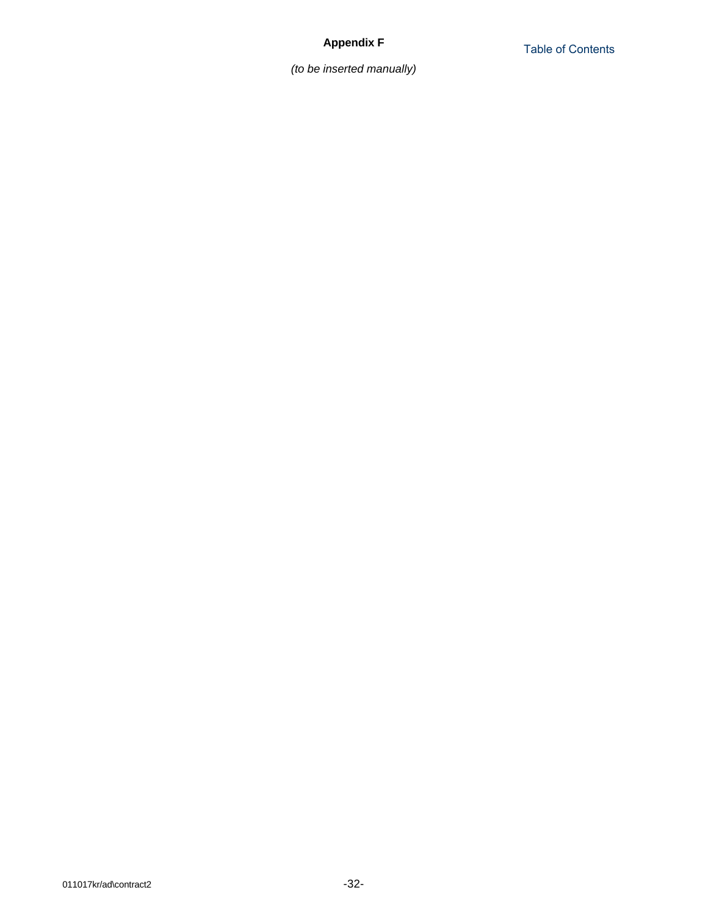*(to be inserted manually)*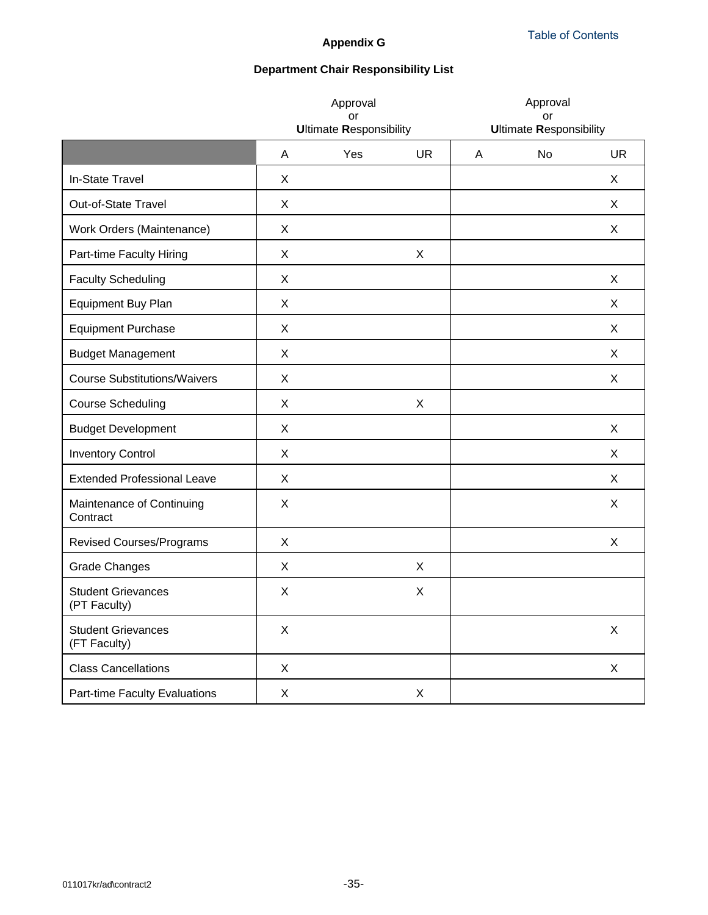# **Appendix G**

# **Department Chair Responsibility List**

|                                           | Approval<br>or<br><b>Ultimate Responsibility</b> |     | Approval<br>or<br><b>Ultimate Responsibility</b> |   |           |             |
|-------------------------------------------|--------------------------------------------------|-----|--------------------------------------------------|---|-----------|-------------|
|                                           | A                                                | Yes | <b>UR</b>                                        | A | <b>No</b> | <b>UR</b>   |
| In-State Travel                           | X                                                |     |                                                  |   |           | X           |
| Out-of-State Travel                       | X                                                |     |                                                  |   |           | X           |
| Work Orders (Maintenance)                 | X                                                |     |                                                  |   |           | X           |
| Part-time Faculty Hiring                  | X                                                |     | X                                                |   |           |             |
| <b>Faculty Scheduling</b>                 | X                                                |     |                                                  |   |           | X           |
| Equipment Buy Plan                        | X                                                |     |                                                  |   |           | X           |
| <b>Equipment Purchase</b>                 | X                                                |     |                                                  |   |           | X           |
| <b>Budget Management</b>                  | X                                                |     |                                                  |   |           | X           |
| <b>Course Substitutions/Waivers</b>       | X                                                |     |                                                  |   |           | X           |
| <b>Course Scheduling</b>                  | X                                                |     | X                                                |   |           |             |
| <b>Budget Development</b>                 | X                                                |     |                                                  |   |           | X           |
| <b>Inventory Control</b>                  | X                                                |     |                                                  |   |           | X           |
| <b>Extended Professional Leave</b>        | X                                                |     |                                                  |   |           | X           |
| Maintenance of Continuing<br>Contract     | X                                                |     |                                                  |   |           | X           |
| <b>Revised Courses/Programs</b>           | X                                                |     |                                                  |   |           | X           |
| <b>Grade Changes</b>                      | X                                                |     | X                                                |   |           |             |
| <b>Student Grievances</b><br>(PT Faculty) | X                                                |     | X                                                |   |           |             |
| <b>Student Grievances</b><br>(FT Faculty) | X                                                |     |                                                  |   |           | $\mathsf X$ |
| <b>Class Cancellations</b>                | X                                                |     |                                                  |   |           | X           |
| Part-time Faculty Evaluations             | X                                                |     | X                                                |   |           |             |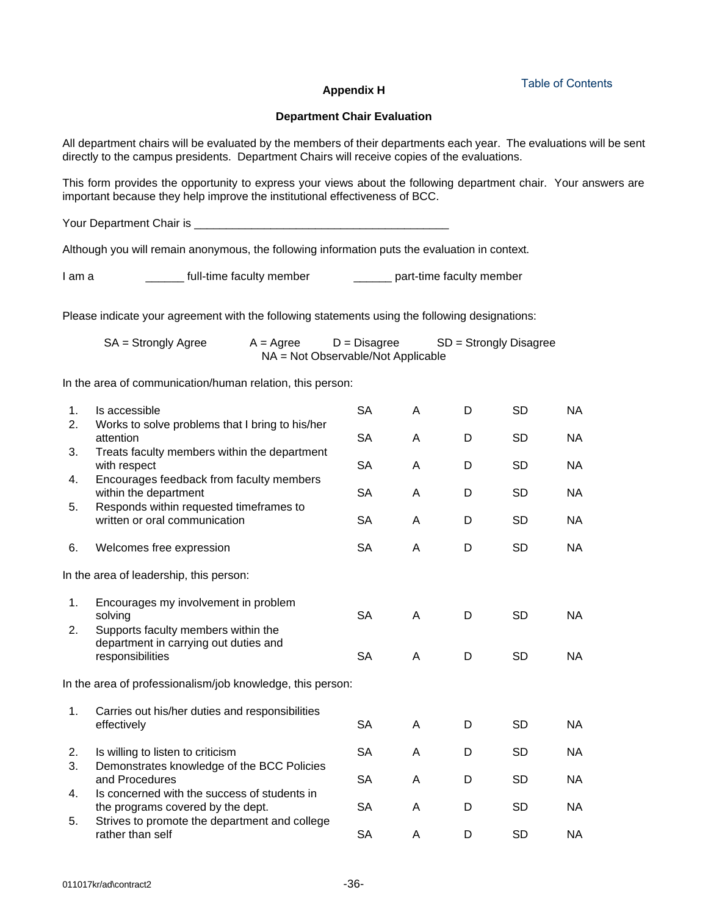## **Appendix H**

[Table of Contents](#page-1-0)

### **Department Chair Evaluation**

All department chairs will be evaluated by the members of their departments each year. The evaluations will be sent directly to the campus presidents. Department Chairs will receive copies of the evaluations.

This form provides the opportunity to express your views about the following department chair. Your answers are important because they help improve the institutional effectiveness of BCC.

Your Department Chair is \_\_\_\_\_\_\_\_\_\_\_\_\_\_\_\_\_\_\_\_\_\_\_\_\_\_\_\_\_\_\_\_\_\_\_\_\_\_\_\_

Although you will remain anonymous, the following information puts the evaluation in context.

I am a \_\_\_\_\_\_\_\_ full-time faculty member \_\_\_\_\_\_\_\_ part-time faculty member

Please indicate your agreement with the following statements using the following designations:

| $SA =$ Strongly Agree | $A = \text{Agree}$ | $D = Disagree$                     | $SD =$ Strongly Disagree |
|-----------------------|--------------------|------------------------------------|--------------------------|
|                       |                    | NA = Not Observable/Not Applicable |                          |

In the area of communication/human relation, this person:

| 1. | Is accessible                                                                                    | <b>SA</b> | Α | D | SD        | NA        |
|----|--------------------------------------------------------------------------------------------------|-----------|---|---|-----------|-----------|
| 2. | Works to solve problems that I bring to his/her<br>attention                                     | <b>SA</b> | A | D | <b>SD</b> | <b>NA</b> |
| 3. | Treats faculty members within the department<br>with respect                                     | <b>SA</b> | A | D | SD        | <b>NA</b> |
| 4. | Encourages feedback from faculty members<br>within the department                                | <b>SA</b> | A | D | <b>SD</b> | <b>NA</b> |
| 5. | Responds within requested timeframes to<br>written or oral communication                         | <b>SA</b> | Α | D | SD        | <b>NA</b> |
| 6. | Welcomes free expression                                                                         | <b>SA</b> | Α | D | <b>SD</b> | <b>NA</b> |
|    | In the area of leadership, this person:                                                          |           |   |   |           |           |
| 1. | Encourages my involvement in problem<br>solving                                                  | <b>SA</b> | A | D | <b>SD</b> | NA.       |
| 2. | Supports faculty members within the<br>department in carrying out duties and<br>responsibilities | <b>SA</b> | A | D | <b>SD</b> | <b>NA</b> |
|    | In the area of professionalism/job knowledge, this person:                                       |           |   |   |           |           |
| 1. | Carries out his/her duties and responsibilities                                                  |           |   |   |           |           |
|    | effectively                                                                                      | <b>SA</b> | A | D | SD        | <b>NA</b> |
| 2. | Is willing to listen to criticism                                                                | <b>SA</b> | A | D | <b>SD</b> | <b>NA</b> |
| 3. | Demonstrates knowledge of the BCC Policies<br>and Procedures                                     | <b>SA</b> | A | D | <b>SD</b> | <b>NA</b> |
| 4. | Is concerned with the success of students in<br>the programs covered by the dept.                | <b>SA</b> | A | D | <b>SD</b> | <b>NA</b> |
| 5. | Strives to promote the department and college<br>rather than self                                | <b>SA</b> | Α | D | SD        | <b>NA</b> |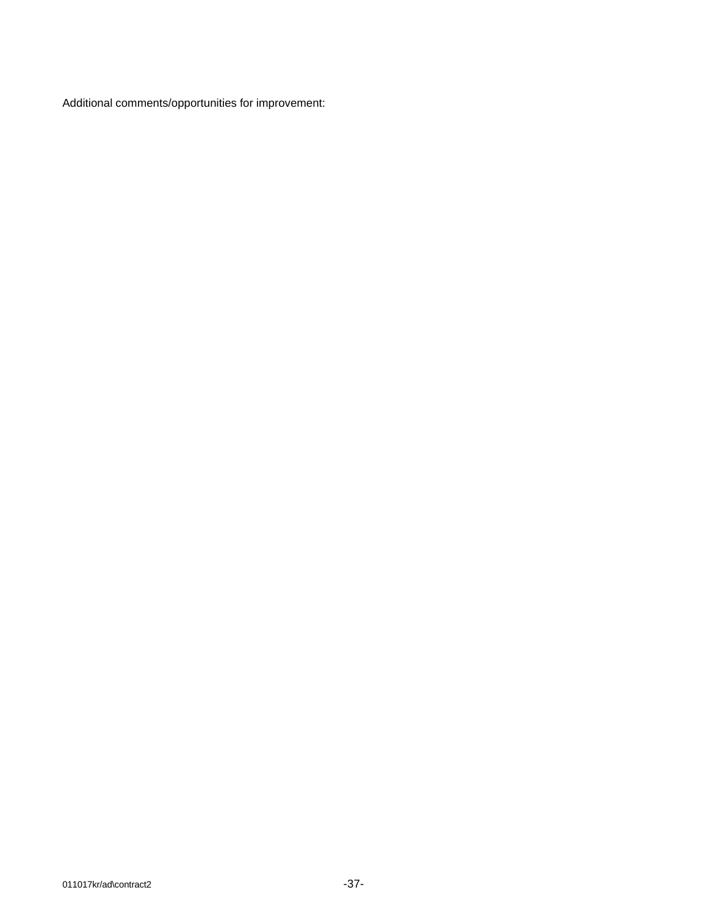Additional comments/opportunities for improvement: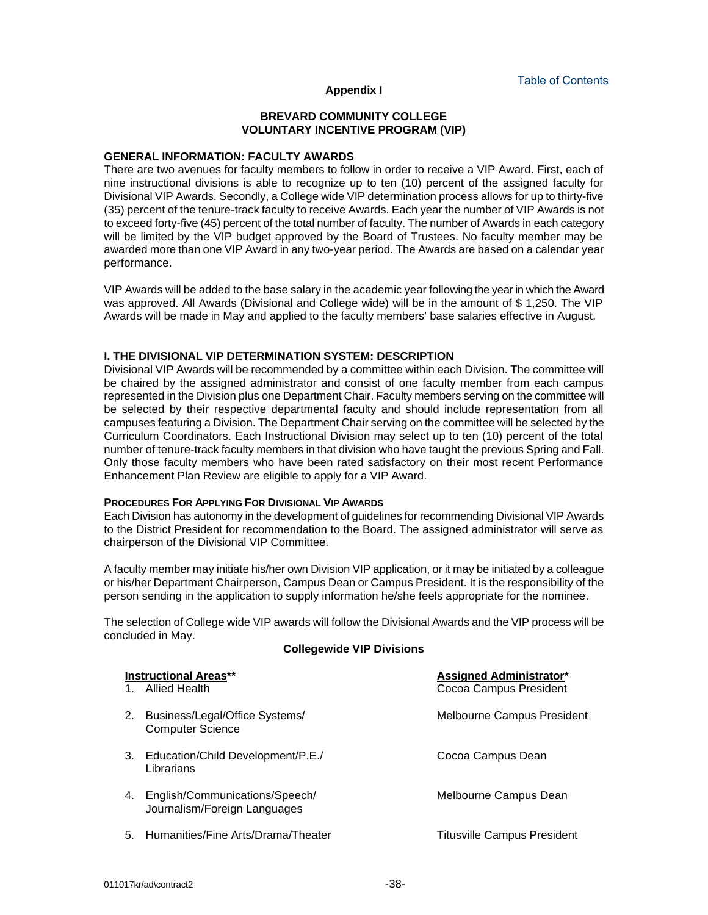#### **Appendix I**

### **BREVARD COMMUNITY COLLEGE VOLUNTARY INCENTIVE PROGRAM (VIP)**

#### **GENERAL INFORMATION: FACULTY AWARDS**

There are two avenues for faculty members to follow in order to receive a VIP Award. First, each of nine instructional divisions is able to recognize up to ten (10) percent of the assigned faculty for Divisional VIP Awards. Secondly, a College wide VIP determination process allows for up to thirty-five (35) percent of the tenure-track faculty to receive Awards. Each year the number of VIP Awards is not to exceed forty-five (45) percent of the total number of faculty. The number of Awards in each category will be limited by the VIP budget approved by the Board of Trustees. No faculty member may be awarded more than one VIP Award in any two-year period. The Awards are based on a calendar year performance.

VIP Awards will be added to the base salary in the academic year following the year in which the Award was approved. All Awards (Divisional and College wide) will be in the amount of \$ 1,250. The VIP Awards will be made in May and applied to the faculty members' base salaries effective in August.

### **I. THE DIVISIONAL VIP DETERMINATION SYSTEM: DESCRIPTION**

Divisional VIP Awards will be recommended by a committee within each Division. The committee will be chaired by the assigned administrator and consist of one faculty member from each campus represented in the Division plus one Department Chair. Faculty members serving on the committee will be selected by their respective departmental faculty and should include representation from all campuses featuring a Division. The Department Chair serving on the committee will be selected by the Curriculum Coordinators. Each Instructional Division may select up to ten (10) percent of the total number of tenure-track faculty members in that division who have taught the previous Spring and Fall. Only those faculty members who have been rated satisfactory on their most recent Performance Enhancement Plan Review are eligible to apply for a VIP Award.

### **PROCEDURES FOR APPLYING FOR DIVISIONAL VIP AWARDS**

Each Division has autonomy in the development of guidelines for recommending Divisional VIP Awards to the District President for recommendation to the Board. The assigned administrator will serve as chairperson of the Divisional VIP Committee.

A faculty member may initiate his/her own Division VIP application, or it may be initiated by a colleague or his/her Department Chairperson, Campus Dean or Campus President. It is the responsibility of the person sending in the application to supply information he/she feels appropriate for the nominee.

The selection of College wide VIP awards will follow the Divisional Awards and the VIP process will be concluded in May.

#### **Collegewide VIP Divisions**

|    | <b>Instructional Areas**</b><br><b>Allied Health</b>           | <b>Assigned Administrator*</b><br>Cocoa Campus President |
|----|----------------------------------------------------------------|----------------------------------------------------------|
| 2. | Business/Legal/Office Systems/<br><b>Computer Science</b>      | Melbourne Campus President                               |
| 3. | Education/Child Development/P.E./<br>Librarians                | Cocoa Campus Dean                                        |
| 4. | English/Communications/Speech/<br>Journalism/Foreign Languages | Melbourne Campus Dean                                    |
| 5. | Humanities/Fine Arts/Drama/Theater                             | Titusville Campus President                              |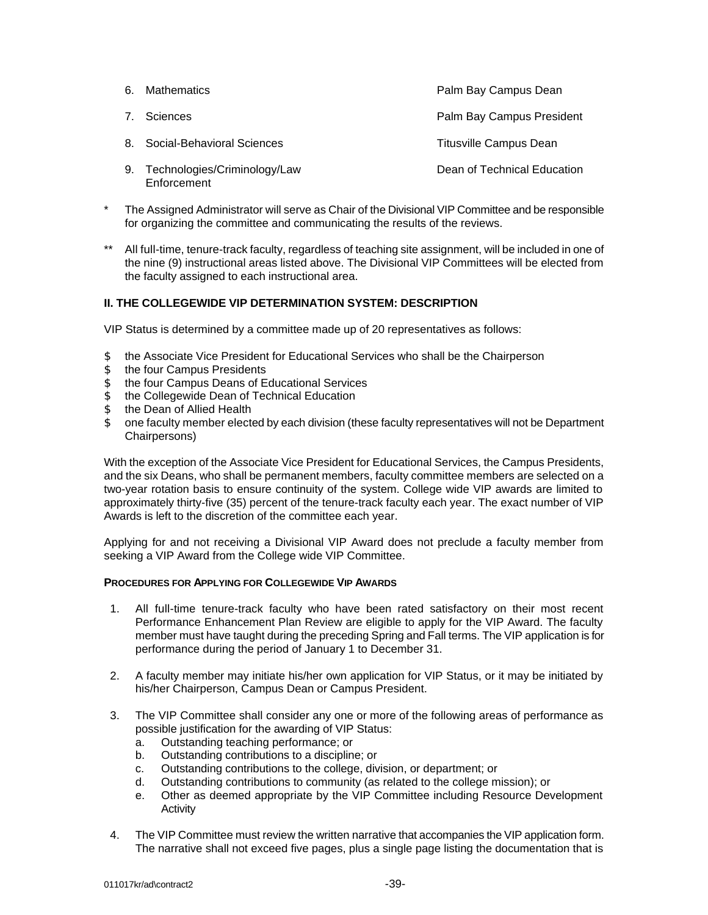| 6. | <b>Mathematics</b>                          | Palm Bay Campus Dean          |
|----|---------------------------------------------|-------------------------------|
| 7. | Sciences                                    | Palm Bay Campus President     |
|    | 8. Social-Behavioral Sciences               | <b>Titusville Campus Dean</b> |
| 9. | Technologies/Criminology/Law<br>Enforcement | Dean of Technical Education   |

- The Assigned Administrator will serve as Chair of the Divisional VIP Committee and be responsible for organizing the committee and communicating the results of the reviews.
- \*\* All full-time, tenure-track faculty, regardless of teaching site assignment, will be included in one of the nine (9) instructional areas listed above. The Divisional VIP Committees will be elected from the faculty assigned to each instructional area.

### **II. THE COLLEGEWIDE VIP DETERMINATION SYSTEM: DESCRIPTION**

VIP Status is determined by a committee made up of 20 representatives as follows:

- \$ the Associate Vice President for Educational Services who shall be the Chairperson
- \$ the four Campus Presidents
- \$ the four Campus Deans of Educational Services
- \$ the Collegewide Dean of Technical Education
- \$ the Dean of Allied Health
- \$ one faculty member elected by each division (these faculty representatives will not be Department Chairpersons)

With the exception of the Associate Vice President for Educational Services, the Campus Presidents, and the six Deans, who shall be permanent members, faculty committee members are selected on a two-year rotation basis to ensure continuity of the system. College wide VIP awards are limited to approximately thirty-five (35) percent of the tenure-track faculty each year. The exact number of VIP Awards is left to the discretion of the committee each year.

Applying for and not receiving a Divisional VIP Award does not preclude a faculty member from seeking a VIP Award from the College wide VIP Committee.

#### **PROCEDURES FOR APPLYING FOR COLLEGEWIDE VIP AWARDS**

- 1. All full-time tenure-track faculty who have been rated satisfactory on their most recent Performance Enhancement Plan Review are eligible to apply for the VIP Award. The faculty member must have taught during the preceding Spring and Fall terms. The VIP application is for performance during the period of January 1 to December 31.
- 2. A faculty member may initiate his/her own application for VIP Status, or it may be initiated by his/her Chairperson, Campus Dean or Campus President.
- 3. The VIP Committee shall consider any one or more of the following areas of performance as possible justification for the awarding of VIP Status:
	- a. Outstanding teaching performance; or
	- b. Outstanding contributions to a discipline; or
	- c. Outstanding contributions to the college, division, or department; or
	- d. Outstanding contributions to community (as related to the college mission); or
	- e. Other as deemed appropriate by the VIP Committee including Resource Development Activity
- 4. The VIP Committee must review the written narrative that accompanies the VIP application form. The narrative shall not exceed five pages, plus a single page listing the documentation that is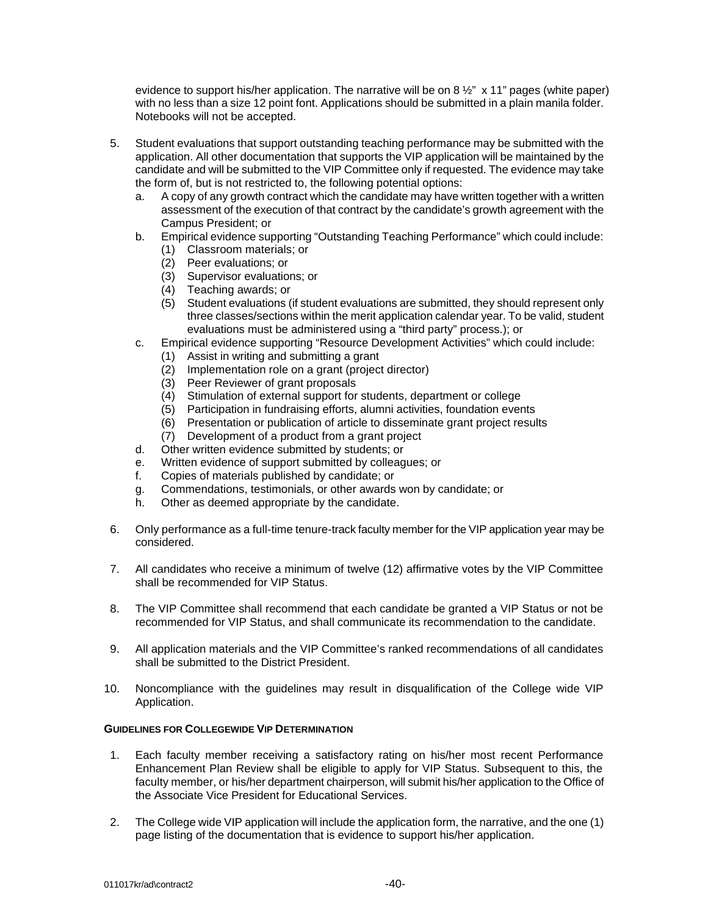evidence to support his/her application. The narrative will be on 8  $\frac{1}{2}$ " x 11" pages (white paper) with no less than a size 12 point font. Applications should be submitted in a plain manila folder. Notebooks will not be accepted.

- 5. Student evaluations that support outstanding teaching performance may be submitted with the application. All other documentation that supports the VIP application will be maintained by the candidate and will be submitted to the VIP Committee only if requested. The evidence may take the form of, but is not restricted to, the following potential options:
	- a. A copy of any growth contract which the candidate may have written together with a written assessment of the execution of that contract by the candidate's growth agreement with the Campus President; or
	- b. Empirical evidence supporting "Outstanding Teaching Performance" which could include:
		- (1) Classroom materials; or
		- (2) Peer evaluations; or
		- (3) Supervisor evaluations; or
		- (4) Teaching awards; or
		- (5) Student evaluations (if student evaluations are submitted, they should represent only three classes/sections within the merit application calendar year. To be valid, student evaluations must be administered using a "third party" process.); or
	- c. Empirical evidence supporting "Resource Development Activities" which could include:
		- (1) Assist in writing and submitting a grant
		- (2) Implementation role on a grant (project director)
		- (3) Peer Reviewer of grant proposals
		- (4) Stimulation of external support for students, department or college
		- (5) Participation in fundraising efforts, alumni activities, foundation events
		- (6) Presentation or publication of article to disseminate grant project results
		- (7) Development of a product from a grant project
	- d. Other written evidence submitted by students; or
	- e. Written evidence of support submitted by colleagues; or
	- f. Copies of materials published by candidate; or
	- g. Commendations, testimonials, or other awards won by candidate; or
	- h. Other as deemed appropriate by the candidate.
- 6. Only performance as a full-time tenure-track faculty member for the VIP application year may be considered.
- 7. All candidates who receive a minimum of twelve (12) affirmative votes by the VIP Committee shall be recommended for VIP Status.
- 8. The VIP Committee shall recommend that each candidate be granted a VIP Status or not be recommended for VIP Status, and shall communicate its recommendation to the candidate.
- 9. All application materials and the VIP Committee's ranked recommendations of all candidates shall be submitted to the District President.
- 10. Noncompliance with the guidelines may result in disqualification of the College wide VIP Application.

### **GUIDELINES FOR COLLEGEWIDE VIP DETERMINATION**

- 1. Each faculty member receiving a satisfactory rating on his/her most recent Performance Enhancement Plan Review shall be eligible to apply for VIP Status. Subsequent to this, the faculty member, or his/her department chairperson, will submit his/her application to the Office of the Associate Vice President for Educational Services.
- 2. The College wide VIP application will include the application form, the narrative, and the one (1) page listing of the documentation that is evidence to support his/her application.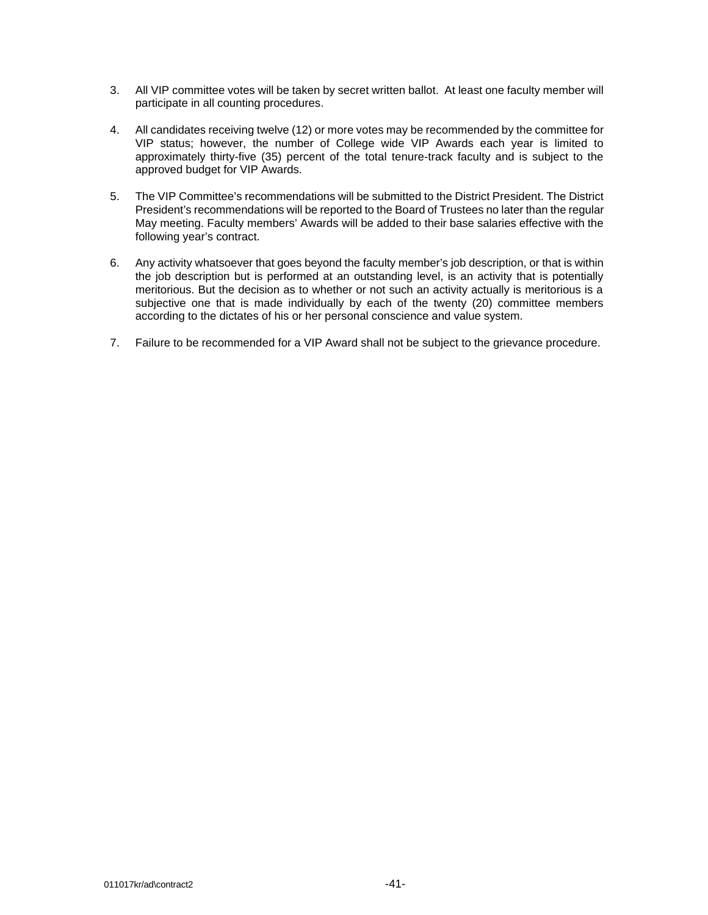- 3. All VIP committee votes will be taken by secret written ballot. At least one faculty member will participate in all counting procedures.
- 4. All candidates receiving twelve (12) or more votes may be recommended by the committee for VIP status; however, the number of College wide VIP Awards each year is limited to approximately thirty-five (35) percent of the total tenure-track faculty and is subject to the approved budget for VIP Awards.
- 5. The VIP Committee's recommendations will be submitted to the District President. The District President's recommendations will be reported to the Board of Trustees no later than the regular May meeting. Faculty members' Awards will be added to their base salaries effective with the following year's contract.
- 6. Any activity whatsoever that goes beyond the faculty member's job description, or that is within the job description but is performed at an outstanding level, is an activity that is potentially meritorious. But the decision as to whether or not such an activity actually is meritorious is a subjective one that is made individually by each of the twenty (20) committee members according to the dictates of his or her personal conscience and value system.
- 7. Failure to be recommended for a VIP Award shall not be subject to the grievance procedure.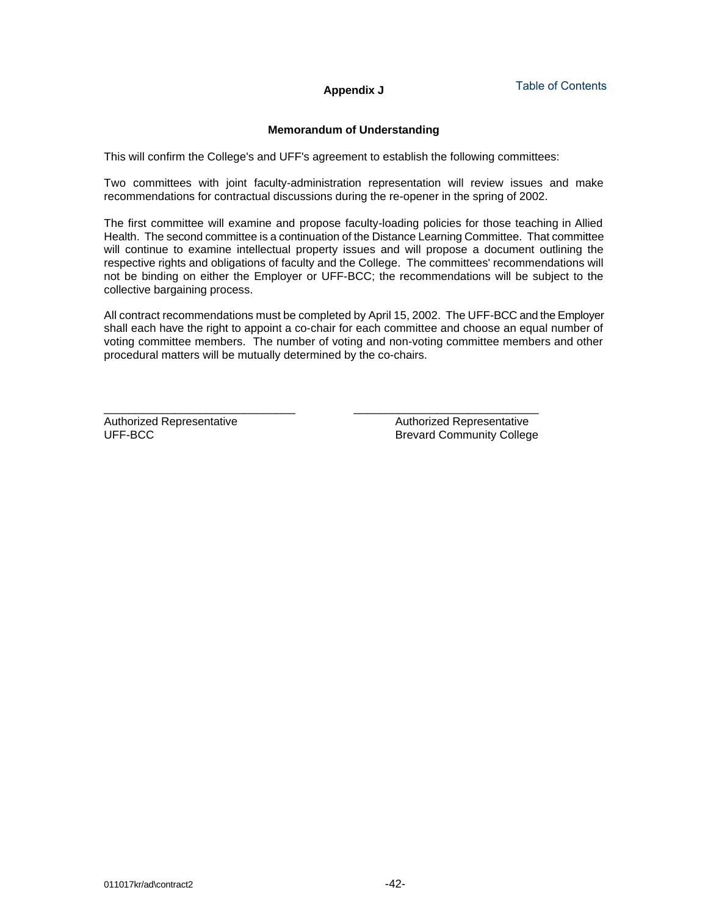# **Appendix J**

## **Memorandum of Understanding**

This will confirm the College's and UFF's agreement to establish the following committees:

Two committees with joint faculty-administration representation will review issues and make recommendations for contractual discussions during the re-opener in the spring of 2002.

The first committee will examine and propose faculty-loading policies for those teaching in Allied Health. The second committee is a continuation of the Distance Learning Committee. That committee will continue to examine intellectual property issues and will propose a document outlining the respective rights and obligations of faculty and the College. The committees' recommendations will not be binding on either the Employer or UFF-BCC; the recommendations will be subject to the collective bargaining process.

All contract recommendations must be completed by April 15, 2002. The UFF-BCC and the Employer shall each have the right to appoint a co-chair for each committee and choose an equal number of voting committee members. The number of voting and non-voting committee members and other procedural matters will be mutually determined by the co-chairs.

Authorized Representative **Authorized Representative** Authorized Representative

\_\_\_\_\_\_\_\_\_\_\_\_\_\_\_\_\_\_\_\_\_\_\_\_\_\_\_\_\_\_ \_\_\_\_\_\_\_\_\_\_\_\_\_\_\_\_\_\_\_\_\_\_\_\_\_\_\_\_\_ UFF-BCC Brevard Community College